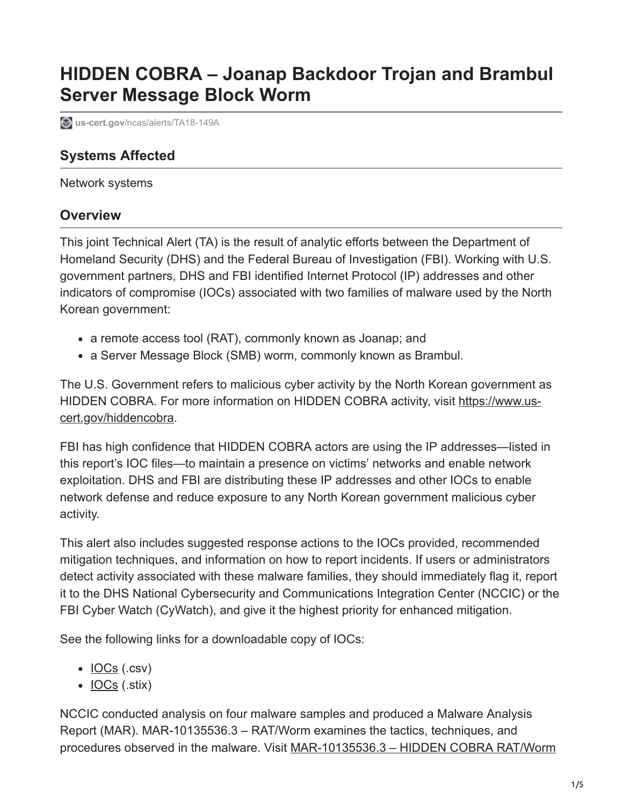# **HIDDEN COBRA – Joanap Backdoor Trojan and Brambul Server Message Block Worm**

**us-cert.gov**[/ncas/alerts/TA18-149A](https://www.us-cert.gov/ncas/alerts/TA18-149A)

## **Systems Affected**

Network systems

## **Overview**

This joint Technical Alert (TA) is the result of analytic efforts between the Department of Homeland Security (DHS) and the Federal Bureau of Investigation (FBI). Working with U.S. government partners, DHS and FBI identified Internet Protocol (IP) addresses and other indicators of compromise (IOCs) associated with two families of malware used by the North Korean government:

- a remote access tool (RAT), commonly known as Joanap; and
- a Server Message Block (SMB) worm, commonly known as Brambul.

The U.S. Government refers to malicious cyber activity by the North Korean government as [HIDDEN COBRA. For more information on HIDDEN COBRA activity, visit https://www.us](https://www.us-cert.gov/hiddencobra)cert.gov/hiddencobra.

FBI has high confidence that HIDDEN COBRA actors are using the IP addresses—listed in this report's IOC files—to maintain a presence on victims' networks and enable network exploitation. DHS and FBI are distributing these IP addresses and other IOCs to enable network defense and reduce exposure to any North Korean government malicious cyber activity.

This alert also includes suggested response actions to the IOCs provided, recommended mitigation techniques, and information on how to report incidents. If users or administrators detect activity associated with these malware families, they should immediately flag it, report it to the DHS National Cybersecurity and Communications Integration Center (NCCIC) or the FBI Cyber Watch (CyWatch), and give it the highest priority for enhanced mitigation.

See the following links for a downloadable copy of IOCs:

- $\cdot$  <u>[IOCs](https://www.us-cert.gov/sites/default/files/publications/TA18-149A.CSV)</u> (.csv)
- $\bullet$  <u>[IOCs](https://www.us-cert.gov/sites/default/files/publications/TA18-149A.stix.xml)</u> (.stix)

NCCIC conducted analysis on four malware samples and produced a Malware Analysis Report (MAR). MAR-10135536.3 – RAT/Worm examines the tactics, techniques, and procedures observed in the malware. Visit MAR-10135536.3 - HIDDEN COBRA RAT/Worm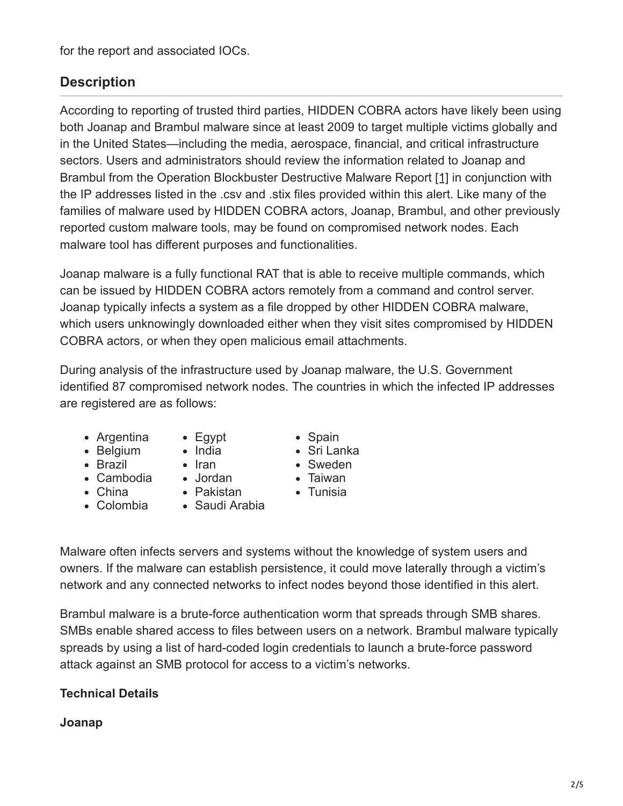for the report and associated IOCs.

# **Description**

According to reporting of trusted third parties, HIDDEN COBRA actors have likely been using both Joanap and Brambul malware since at least 2009 to target multiple victims globally and in the United States—including the media, aerospace, financial, and critical infrastructure sectors. Users and administrators should review the information related to Joanap and Brambul from the Operation Blockbuster Destructive Malware Report [\[1\]](https://www.operationblockbuster.com/wp-content/uploads/2016/02/Operation-Blockbuster-Destructive-Malware-Report.pdf) in conjunction with the IP addresses listed in the .csv and .stix files provided within this alert. Like many of the families of malware used by HIDDEN COBRA actors, Joanap, Brambul, and other previously reported custom malware tools, may be found on compromised network nodes. Each malware tool has different purposes and functionalities.

Joanap malware is a fully functional RAT that is able to receive multiple commands, which can be issued by HIDDEN COBRA actors remotely from a command and control server. Joanap typically infects a system as a file dropped by other HIDDEN COBRA malware, which users unknowingly downloaded either when they visit sites compromised by HIDDEN COBRA actors, or when they open malicious email attachments.

During analysis of the infrastructure used by Joanap malware, the U.S. Government identified 87 compromised network nodes. The countries in which the infected IP addresses are registered are as follows:

- Argentina
	- Egypt
- Belgium • Brazil
- India  $\bullet$  Iran
- 
- China
- Cambodia Jordan Pakistan
- 
- Saudi Arabia
- Spain Sri Lanka
- Sweden
- Taiwan
- Tunisia

Colombia

Malware often infects servers and systems without the knowledge of system users and owners. If the malware can establish persistence, it could move laterally through a victim's network and any connected networks to infect nodes beyond those identified in this alert.

Brambul malware is a brute-force authentication worm that spreads through SMB shares. SMBs enable shared access to files between users on a network. Brambul malware typically spreads by using a list of hard-coded login credentials to launch a brute-force password attack against an SMB protocol for access to a victim's networks.

## **Technical Details**

#### **Joanap**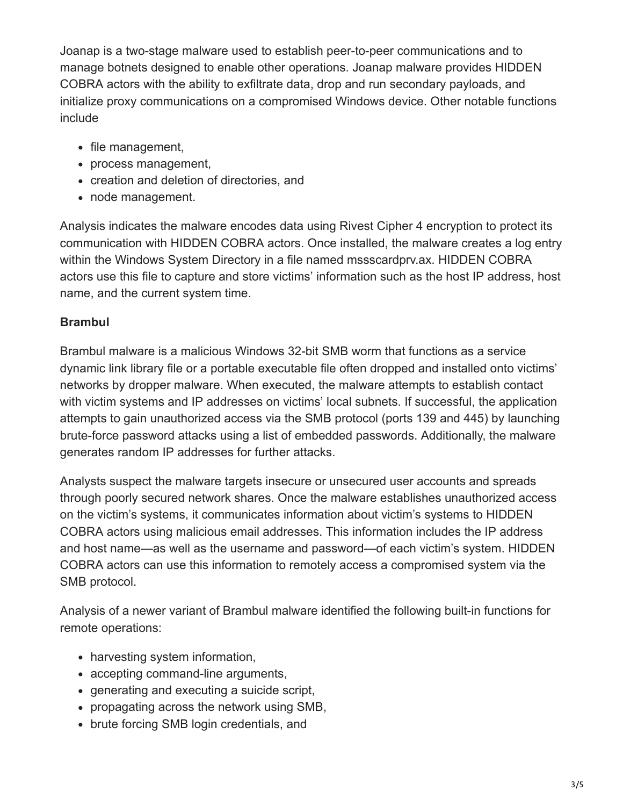Joanap is a two-stage malware used to establish peer-to-peer communications and to manage botnets designed to enable other operations. Joanap malware provides HIDDEN COBRA actors with the ability to exfiltrate data, drop and run secondary payloads, and initialize proxy communications on a compromised Windows device. Other notable functions include

- file management,
- process management,
- creation and deletion of directories, and
- node management.

Analysis indicates the malware encodes data using Rivest Cipher 4 encryption to protect its communication with HIDDEN COBRA actors. Once installed, the malware creates a log entry within the Windows System Directory in a file named mssscardprv.ax. HIDDEN COBRA actors use this file to capture and store victims' information such as the host IP address, host name, and the current system time.

#### **Brambul**

Brambul malware is a malicious Windows 32-bit SMB worm that functions as a service dynamic link library file or a portable executable file often dropped and installed onto victims' networks by dropper malware. When executed, the malware attempts to establish contact with victim systems and IP addresses on victims' local subnets. If successful, the application attempts to gain unauthorized access via the SMB protocol (ports 139 and 445) by launching brute-force password attacks using a list of embedded passwords. Additionally, the malware generates random IP addresses for further attacks.

Analysts suspect the malware targets insecure or unsecured user accounts and spreads through poorly secured network shares. Once the malware establishes unauthorized access on the victim's systems, it communicates information about victim's systems to HIDDEN COBRA actors using malicious email addresses. This information includes the IP address and host name—as well as the username and password—of each victim's system. HIDDEN COBRA actors can use this information to remotely access a compromised system via the SMB protocol.

Analysis of a newer variant of Brambul malware identified the following built-in functions for remote operations:

- harvesting system information,
- accepting command-line arguments,
- generating and executing a suicide script,
- propagating across the network using SMB,
- brute forcing SMB login credentials, and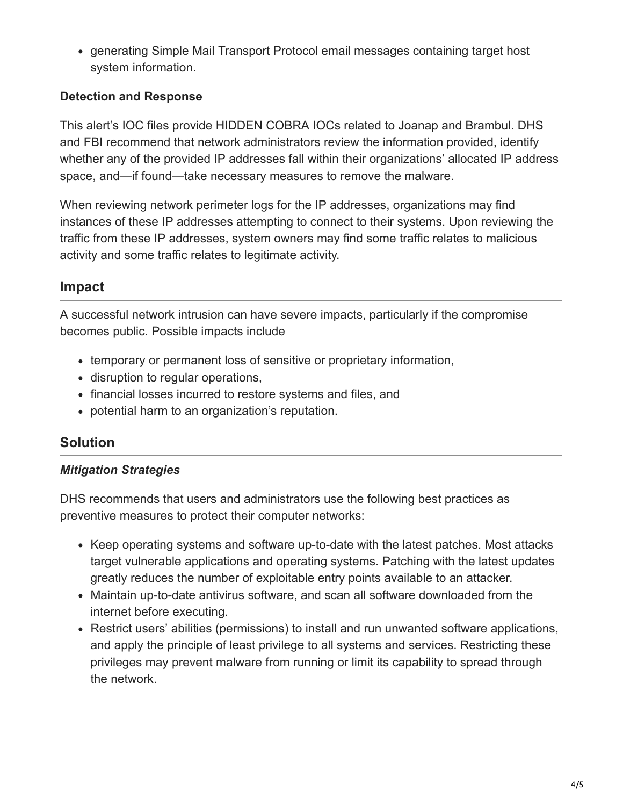generating Simple Mail Transport Protocol email messages containing target host system information.

#### **Detection and Response**

This alert's IOC files provide HIDDEN COBRA IOCs related to Joanap and Brambul. DHS and FBI recommend that network administrators review the information provided, identify whether any of the provided IP addresses fall within their organizations' allocated IP address space, and—if found—take necessary measures to remove the malware.

When reviewing network perimeter logs for the IP addresses, organizations may find instances of these IP addresses attempting to connect to their systems. Upon reviewing the traffic from these IP addresses, system owners may find some traffic relates to malicious activity and some traffic relates to legitimate activity.

## **Impact**

A successful network intrusion can have severe impacts, particularly if the compromise becomes public. Possible impacts include

- temporary or permanent loss of sensitive or proprietary information,
- disruption to regular operations,
- financial losses incurred to restore systems and files, and
- potential harm to an organization's reputation.

## **Solution**

#### *Mitigation Strategies*

DHS recommends that users and administrators use the following best practices as preventive measures to protect their computer networks:

- Keep operating systems and software up-to-date with the latest patches. Most attacks target vulnerable applications and operating systems. Patching with the latest updates greatly reduces the number of exploitable entry points available to an attacker.
- Maintain up-to-date antivirus software, and scan all software downloaded from the internet before executing.
- Restrict users' abilities (permissions) to install and run unwanted software applications, and apply the principle of least privilege to all systems and services. Restricting these privileges may prevent malware from running or limit its capability to spread through the network.